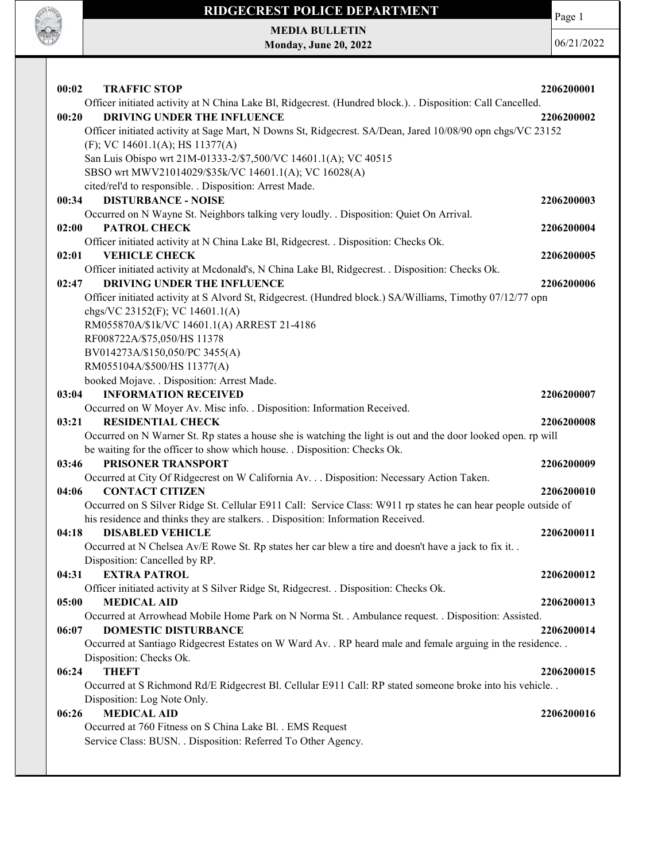

MEDIA BULLETIN Monday, June 20, 2022

**SOF OFFICER** 

| 00:02 | <b>TRAFFIC STOP</b>                                                                                            | 2206200001 |
|-------|----------------------------------------------------------------------------------------------------------------|------------|
|       | Officer initiated activity at N China Lake Bl, Ridgecrest. (Hundred block.). . Disposition: Call Cancelled.    |            |
| 00:20 | DRIVING UNDER THE INFLUENCE                                                                                    | 2206200002 |
|       | Officer initiated activity at Sage Mart, N Downs St, Ridgecrest. SA/Dean, Jared 10/08/90 opn chgs/VC 23152     |            |
|       | (F); VC 14601.1(A); HS 11377(A)                                                                                |            |
|       | San Luis Obispo wrt 21M-01333-2/\$7,500/VC 14601.1(A); VC 40515                                                |            |
|       | SBSO wrt MWV21014029/\$35k/VC 14601.1(A); VC 16028(A)                                                          |            |
|       | cited/rel'd to responsible. . Disposition: Arrest Made.                                                        |            |
| 00:34 | <b>DISTURBANCE - NOISE</b>                                                                                     | 2206200003 |
|       | Occurred on N Wayne St. Neighbors talking very loudly. . Disposition: Quiet On Arrival.                        |            |
| 02:00 | <b>PATROL CHECK</b>                                                                                            | 2206200004 |
|       | Officer initiated activity at N China Lake Bl, Ridgecrest. . Disposition: Checks Ok.                           |            |
| 02:01 | <b>VEHICLE CHECK</b>                                                                                           | 2206200005 |
|       | Officer initiated activity at Mcdonald's, N China Lake Bl, Ridgecrest. . Disposition: Checks Ok.               |            |
| 02:47 | DRIVING UNDER THE INFLUENCE                                                                                    | 2206200006 |
|       | Officer initiated activity at S Alvord St, Ridgecrest. (Hundred block.) SA/Williams, Timothy 07/12/77 opn      |            |
|       | chgs/VC 23152(F); VC 14601.1(A)                                                                                |            |
|       | RM055870A/\$1k/VC 14601.1(A) ARREST 21-4186                                                                    |            |
|       | RF008722A/\$75,050/HS 11378                                                                                    |            |
|       | BV014273A/\$150,050/PC 3455(A)                                                                                 |            |
|       | RM055104A/\$500/HS 11377(A)                                                                                    |            |
|       | booked Mojave. . Disposition: Arrest Made.                                                                     |            |
| 03:04 | <b>INFORMATION RECEIVED</b>                                                                                    | 2206200007 |
|       | Occurred on W Moyer Av. Misc info. . Disposition: Information Received.                                        |            |
| 03:21 | <b>RESIDENTIAL CHECK</b>                                                                                       | 2206200008 |
|       | Occurred on N Warner St. Rp states a house she is watching the light is out and the door looked open. rp will  |            |
|       | be waiting for the officer to show which house. . Disposition: Checks Ok.                                      |            |
| 03:46 | PRISONER TRANSPORT                                                                                             | 2206200009 |
|       | Occurred at City Of Ridgecrest on W California Av. Disposition: Necessary Action Taken.                        |            |
| 04:06 | <b>CONTACT CITIZEN</b>                                                                                         | 2206200010 |
|       | Occurred on S Silver Ridge St. Cellular E911 Call: Service Class: W911 rp states he can hear people outside of |            |
|       | his residence and thinks they are stalkers. . Disposition: Information Received.                               |            |
| 04:18 | <b>DISABLED VEHICLE</b>                                                                                        | 2206200011 |
|       | Occurred at N Chelsea Av/E Rowe St. Rp states her car blew a tire and doesn't have a jack to fix it. .         |            |
|       | Disposition: Cancelled by RP.                                                                                  |            |
| 04:31 | <b>EXTRA PATROL</b>                                                                                            | 2206200012 |
|       | Officer initiated activity at S Silver Ridge St, Ridgecrest. . Disposition: Checks Ok.                         |            |
| 05:00 | <b>MEDICAL AID</b>                                                                                             | 2206200013 |
|       | Occurred at Arrowhead Mobile Home Park on N Norma St. . Ambulance request. . Disposition: Assisted.            |            |
| 06:07 | <b>DOMESTIC DISTURBANCE</b>                                                                                    | 2206200014 |
|       | Occurred at Santiago Ridgecrest Estates on W Ward Av. . RP heard male and female arguing in the residence. .   |            |
|       | Disposition: Checks Ok.                                                                                        |            |
| 06:24 | <b>THEFT</b>                                                                                                   | 2206200015 |
|       | Occurred at S Richmond Rd/E Ridgecrest Bl. Cellular E911 Call: RP stated someone broke into his vehicle        |            |
|       | Disposition: Log Note Only.                                                                                    |            |
| 06:26 | <b>MEDICAL AID</b>                                                                                             | 2206200016 |
|       | Occurred at 760 Fitness on S China Lake Bl. . EMS Request                                                      |            |
|       | Service Class: BUSN. . Disposition: Referred To Other Agency.                                                  |            |
|       |                                                                                                                |            |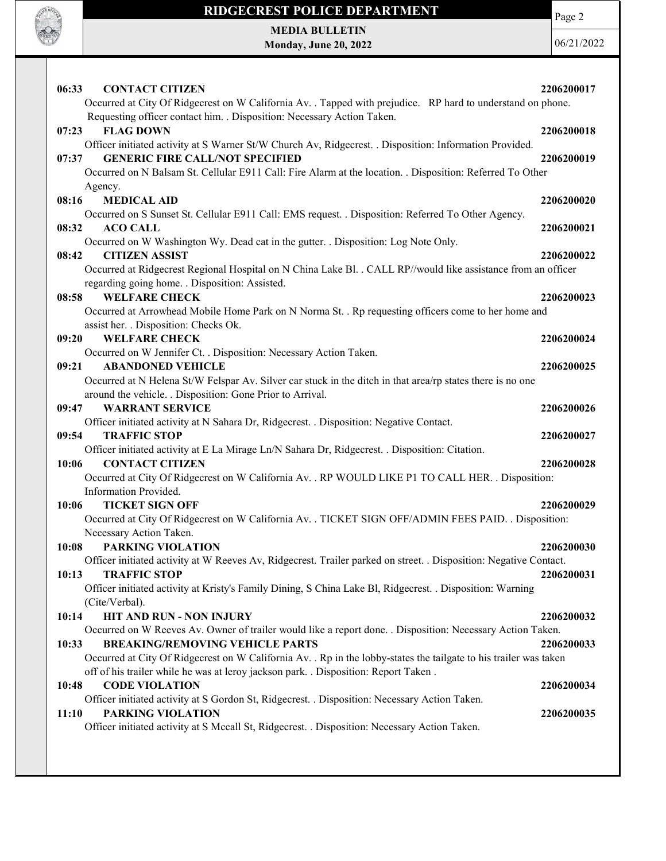

Page 2

MEDIA BULLETIN Monday, June 20, 2022

| 06:33<br><b>CONTACT CITIZEN</b>                                                                                                 | 2206200017 |
|---------------------------------------------------------------------------------------------------------------------------------|------------|
| Occurred at City Of Ridgecrest on W California Av. . Tapped with prejudice. RP hard to understand on phone.                     |            |
| Requesting officer contact him. . Disposition: Necessary Action Taken.                                                          |            |
| 07:23<br><b>FLAG DOWN</b>                                                                                                       | 2206200018 |
| Officer initiated activity at S Warner St/W Church Av, Ridgecrest. . Disposition: Information Provided.                         |            |
| <b>GENERIC FIRE CALL/NOT SPECIFIED</b><br>07:37                                                                                 | 2206200019 |
| Occurred on N Balsam St. Cellular E911 Call: Fire Alarm at the location. . Disposition: Referred To Other                       |            |
| Agency.<br><b>MEDICAL AID</b><br>08:16                                                                                          | 2206200020 |
| Occurred on S Sunset St. Cellular E911 Call: EMS request. . Disposition: Referred To Other Agency.                              |            |
| 08:32<br><b>ACO CALL</b>                                                                                                        | 2206200021 |
| Occurred on W Washington Wy. Dead cat in the gutter. . Disposition: Log Note Only.                                              |            |
| 08:42<br><b>CITIZEN ASSIST</b>                                                                                                  | 2206200022 |
| Occurred at Ridgecrest Regional Hospital on N China Lake Bl. . CALL RP//would like assistance from an officer                   |            |
| regarding going home. . Disposition: Assisted.                                                                                  |            |
| <b>WELFARE CHECK</b><br>08:58                                                                                                   | 2206200023 |
| Occurred at Arrowhead Mobile Home Park on N Norma St. . Rp requesting officers come to her home and                             |            |
| assist her. . Disposition: Checks Ok.                                                                                           |            |
| <b>WELFARE CHECK</b><br>09:20                                                                                                   | 2206200024 |
| Occurred on W Jennifer Ct. . Disposition: Necessary Action Taken.                                                               |            |
| 09:21<br><b>ABANDONED VEHICLE</b>                                                                                               | 2206200025 |
| Occurred at N Helena St/W Felspar Av. Silver car stuck in the ditch in that area/rp states there is no one                      |            |
| around the vehicle. . Disposition: Gone Prior to Arrival.                                                                       |            |
| <b>WARRANT SERVICE</b><br>09:47                                                                                                 | 2206200026 |
| Officer initiated activity at N Sahara Dr, Ridgecrest. . Disposition: Negative Contact.                                         |            |
| 09:54<br><b>TRAFFIC STOP</b>                                                                                                    | 2206200027 |
| Officer initiated activity at E La Mirage Ln/N Sahara Dr, Ridgecrest. . Disposition: Citation.                                  |            |
| 10:06<br><b>CONTACT CITIZEN</b>                                                                                                 | 2206200028 |
| Occurred at City Of Ridgecrest on W California Av. . RP WOULD LIKE P1 TO CALL HER. . Disposition:                               |            |
| Information Provided.<br><b>TICKET SIGN OFF</b>                                                                                 |            |
| 10:06                                                                                                                           | 2206200029 |
| Occurred at City Of Ridgecrest on W California Av. . TICKET SIGN OFF/ADMIN FEES PAID. . Disposition:<br>Necessary Action Taken. |            |
| 10:08<br><b>PARKING VIOLATION</b>                                                                                               | 2206200030 |
| Officer initiated activity at W Reeves Av, Ridgecrest. Trailer parked on street. . Disposition: Negative Contact.               |            |
| <b>TRAFFIC STOP</b><br>10:13                                                                                                    | 2206200031 |
| Officer initiated activity at Kristy's Family Dining, S China Lake Bl, Ridgecrest. . Disposition: Warning                       |            |
| (Cite/Verbal).                                                                                                                  |            |
| HIT AND RUN - NON INJURY<br>10:14                                                                                               | 2206200032 |
| Occurred on W Reeves Av. Owner of trailer would like a report done. . Disposition: Necessary Action Taken.                      |            |
| <b>BREAKING/REMOVING VEHICLE PARTS</b><br>10:33                                                                                 | 2206200033 |
| Occurred at City Of Ridgecrest on W California Av. . Rp in the lobby-states the tailgate to his trailer was taken               |            |
| off of his trailer while he was at leroy jackson park. . Disposition: Report Taken.                                             |            |
| <b>CODE VIOLATION</b><br>10:48                                                                                                  | 2206200034 |
| Officer initiated activity at S Gordon St, Ridgecrest. . Disposition: Necessary Action Taken.                                   |            |
| <b>PARKING VIOLATION</b><br>11:10                                                                                               | 2206200035 |
| Officer initiated activity at S Mccall St, Ridgecrest. . Disposition: Necessary Action Taken.                                   |            |
|                                                                                                                                 |            |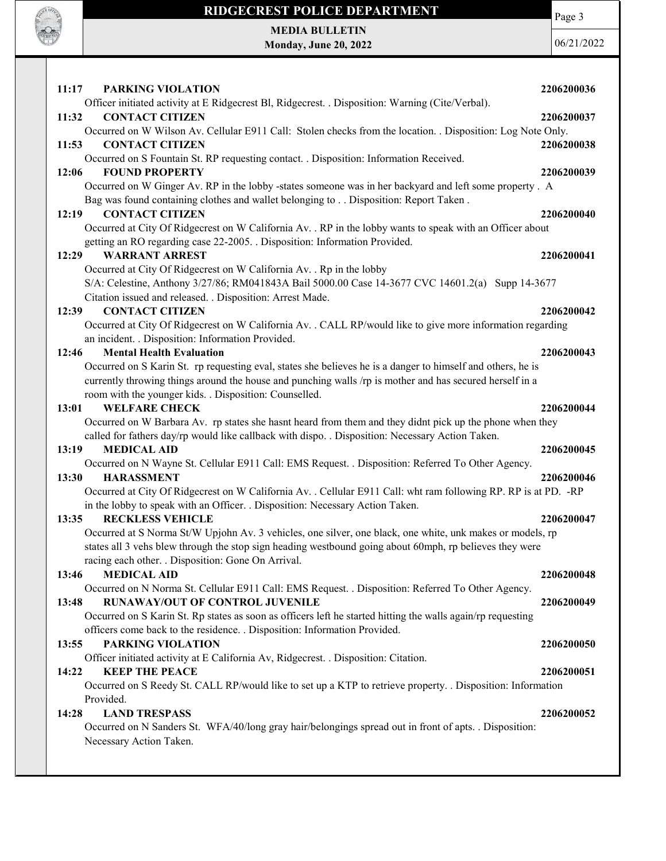

Occurred on N Sanders St. WFA/40/long gray hair/belongings spread out in front of apts. . Disposition: Necessary Action Taken.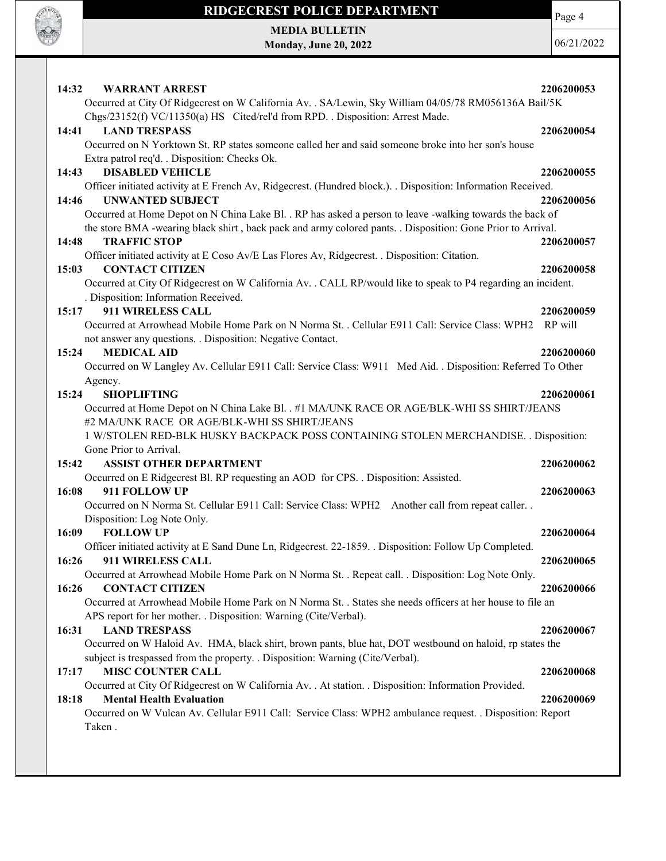

Page 4

MEDIA BULLETIN Monday, June 20, 2022

| Occurred at City Of Ridgecrest on W California Av. . SA/Lewin, Sky William 04/05/78 RM056136A Bail/5K<br>Chgs/23152(f) VC/11350(a) HS Cited/rel'd from RPD. . Disposition: Arrest Made.<br>14:41<br><b>LAND TRESPASS</b><br>2206200054<br>Occurred on N Yorktown St. RP states someone called her and said someone broke into her son's house<br>Extra patrol req'd. . Disposition: Checks Ok.<br>14:43<br><b>DISABLED VEHICLE</b><br>2206200055<br>Officer initiated activity at E French Av, Ridgecrest. (Hundred block.). . Disposition: Information Received.<br>14:46<br><b>UNWANTED SUBJECT</b><br>2206200056<br>Occurred at Home Depot on N China Lake Bl. . RP has asked a person to leave -walking towards the back of<br>the store BMA -wearing black shirt, back pack and army colored pants. . Disposition: Gone Prior to Arrival.<br><b>TRAFFIC STOP</b><br>14:48<br>2206200057<br>Officer initiated activity at E Coso Av/E Las Flores Av, Ridgecrest. . Disposition: Citation.<br><b>CONTACT CITIZEN</b><br>15:03<br>2206200058<br>Occurred at City Of Ridgecrest on W California Av. . CALL RP/would like to speak to P4 regarding an incident.<br>. Disposition: Information Received.<br>911 WIRELESS CALL<br>15:17<br>2206200059<br>Occurred at Arrowhead Mobile Home Park on N Norma St. . Cellular E911 Call: Service Class: WPH2<br>RP will<br>not answer any questions. . Disposition: Negative Contact.<br>15:24<br><b>MEDICAL AID</b><br>2206200060<br>Occurred on W Langley Av. Cellular E911 Call: Service Class: W911 Med Aid. . Disposition: Referred To Other<br>Agency.<br>15:24<br><b>SHOPLIFTING</b><br>2206200061<br>Occurred at Home Depot on N China Lake Bl. . #1 MA/UNK RACE OR AGE/BLK-WHI SS SHIRT/JEANS<br>#2 MA/UNK RACE OR AGE/BLK-WHI SS SHIRT/JEANS<br>1 W/STOLEN RED-BLK HUSKY BACKPACK POSS CONTAINING STOLEN MERCHANDISE. . Disposition:<br>Gone Prior to Arrival.<br><b>ASSIST OTHER DEPARTMENT</b><br>15:42<br>2206200062<br>Occurred on E Ridgecrest Bl. RP requesting an AOD for CPS. . Disposition: Assisted.<br>16:08<br>911 FOLLOW UP<br>2206200063<br>Occurred on N Norma St. Cellular E911 Call: Service Class: WPH2 Another call from repeat caller. .<br>Disposition: Log Note Only.<br>16:09<br><b>FOLLOW UP</b><br>2206200064<br>Officer initiated activity at E Sand Dune Ln, Ridgecrest. 22-1859. . Disposition: Follow Up Completed.<br>16:26<br>911 WIRELESS CALL<br>2206200065<br>Occurred at Arrowhead Mobile Home Park on N Norma St. . Repeat call. . Disposition: Log Note Only.<br><b>CONTACT CITIZEN</b><br>16:26<br>2206200066<br>Occurred at Arrowhead Mobile Home Park on N Norma St. . States she needs officers at her house to file an<br>APS report for her mother. . Disposition: Warning (Cite/Verbal).<br><b>LAND TRESPASS</b><br>16:31<br>2206200067<br>Occurred on W Haloid Av. HMA, black shirt, brown pants, blue hat, DOT westbound on haloid, rp states the<br>subject is trespassed from the property. . Disposition: Warning (Cite/Verbal).<br>17:17<br><b>MISC COUNTER CALL</b><br>2206200068<br>Occurred at City Of Ridgecrest on W California Av. . At station. . Disposition: Information Provided.<br><b>Mental Health Evaluation</b><br>18:18<br>2206200069<br>Occurred on W Vulcan Av. Cellular E911 Call: Service Class: WPH2 ambulance request. . Disposition: Report<br>Taken. | 14:32<br><b>WARRANT ARREST</b> | 2206200053 |
|------------------------------------------------------------------------------------------------------------------------------------------------------------------------------------------------------------------------------------------------------------------------------------------------------------------------------------------------------------------------------------------------------------------------------------------------------------------------------------------------------------------------------------------------------------------------------------------------------------------------------------------------------------------------------------------------------------------------------------------------------------------------------------------------------------------------------------------------------------------------------------------------------------------------------------------------------------------------------------------------------------------------------------------------------------------------------------------------------------------------------------------------------------------------------------------------------------------------------------------------------------------------------------------------------------------------------------------------------------------------------------------------------------------------------------------------------------------------------------------------------------------------------------------------------------------------------------------------------------------------------------------------------------------------------------------------------------------------------------------------------------------------------------------------------------------------------------------------------------------------------------------------------------------------------------------------------------------------------------------------------------------------------------------------------------------------------------------------------------------------------------------------------------------------------------------------------------------------------------------------------------------------------------------------------------------------------------------------------------------------------------------------------------------------------------------------------------------------------------------------------------------------------------------------------------------------------------------------------------------------------------------------------------------------------------------------------------------------------------------------------------------------------------------------------------------------------------------------------------------------------------------------------------------------------------------------------------------------------------------------------------------------------------------------------------------------------------------------------------------------------------------------------------------------------------------------------------------------------------------------------------------------------------------------------------------------------------------------------------------------------------|--------------------------------|------------|
|                                                                                                                                                                                                                                                                                                                                                                                                                                                                                                                                                                                                                                                                                                                                                                                                                                                                                                                                                                                                                                                                                                                                                                                                                                                                                                                                                                                                                                                                                                                                                                                                                                                                                                                                                                                                                                                                                                                                                                                                                                                                                                                                                                                                                                                                                                                                                                                                                                                                                                                                                                                                                                                                                                                                                                                                                                                                                                                                                                                                                                                                                                                                                                                                                                                                                                                                                                                    |                                |            |
|                                                                                                                                                                                                                                                                                                                                                                                                                                                                                                                                                                                                                                                                                                                                                                                                                                                                                                                                                                                                                                                                                                                                                                                                                                                                                                                                                                                                                                                                                                                                                                                                                                                                                                                                                                                                                                                                                                                                                                                                                                                                                                                                                                                                                                                                                                                                                                                                                                                                                                                                                                                                                                                                                                                                                                                                                                                                                                                                                                                                                                                                                                                                                                                                                                                                                                                                                                                    |                                |            |
|                                                                                                                                                                                                                                                                                                                                                                                                                                                                                                                                                                                                                                                                                                                                                                                                                                                                                                                                                                                                                                                                                                                                                                                                                                                                                                                                                                                                                                                                                                                                                                                                                                                                                                                                                                                                                                                                                                                                                                                                                                                                                                                                                                                                                                                                                                                                                                                                                                                                                                                                                                                                                                                                                                                                                                                                                                                                                                                                                                                                                                                                                                                                                                                                                                                                                                                                                                                    |                                |            |
|                                                                                                                                                                                                                                                                                                                                                                                                                                                                                                                                                                                                                                                                                                                                                                                                                                                                                                                                                                                                                                                                                                                                                                                                                                                                                                                                                                                                                                                                                                                                                                                                                                                                                                                                                                                                                                                                                                                                                                                                                                                                                                                                                                                                                                                                                                                                                                                                                                                                                                                                                                                                                                                                                                                                                                                                                                                                                                                                                                                                                                                                                                                                                                                                                                                                                                                                                                                    |                                |            |
|                                                                                                                                                                                                                                                                                                                                                                                                                                                                                                                                                                                                                                                                                                                                                                                                                                                                                                                                                                                                                                                                                                                                                                                                                                                                                                                                                                                                                                                                                                                                                                                                                                                                                                                                                                                                                                                                                                                                                                                                                                                                                                                                                                                                                                                                                                                                                                                                                                                                                                                                                                                                                                                                                                                                                                                                                                                                                                                                                                                                                                                                                                                                                                                                                                                                                                                                                                                    |                                |            |
|                                                                                                                                                                                                                                                                                                                                                                                                                                                                                                                                                                                                                                                                                                                                                                                                                                                                                                                                                                                                                                                                                                                                                                                                                                                                                                                                                                                                                                                                                                                                                                                                                                                                                                                                                                                                                                                                                                                                                                                                                                                                                                                                                                                                                                                                                                                                                                                                                                                                                                                                                                                                                                                                                                                                                                                                                                                                                                                                                                                                                                                                                                                                                                                                                                                                                                                                                                                    |                                |            |
|                                                                                                                                                                                                                                                                                                                                                                                                                                                                                                                                                                                                                                                                                                                                                                                                                                                                                                                                                                                                                                                                                                                                                                                                                                                                                                                                                                                                                                                                                                                                                                                                                                                                                                                                                                                                                                                                                                                                                                                                                                                                                                                                                                                                                                                                                                                                                                                                                                                                                                                                                                                                                                                                                                                                                                                                                                                                                                                                                                                                                                                                                                                                                                                                                                                                                                                                                                                    |                                |            |
|                                                                                                                                                                                                                                                                                                                                                                                                                                                                                                                                                                                                                                                                                                                                                                                                                                                                                                                                                                                                                                                                                                                                                                                                                                                                                                                                                                                                                                                                                                                                                                                                                                                                                                                                                                                                                                                                                                                                                                                                                                                                                                                                                                                                                                                                                                                                                                                                                                                                                                                                                                                                                                                                                                                                                                                                                                                                                                                                                                                                                                                                                                                                                                                                                                                                                                                                                                                    |                                |            |
|                                                                                                                                                                                                                                                                                                                                                                                                                                                                                                                                                                                                                                                                                                                                                                                                                                                                                                                                                                                                                                                                                                                                                                                                                                                                                                                                                                                                                                                                                                                                                                                                                                                                                                                                                                                                                                                                                                                                                                                                                                                                                                                                                                                                                                                                                                                                                                                                                                                                                                                                                                                                                                                                                                                                                                                                                                                                                                                                                                                                                                                                                                                                                                                                                                                                                                                                                                                    |                                |            |
|                                                                                                                                                                                                                                                                                                                                                                                                                                                                                                                                                                                                                                                                                                                                                                                                                                                                                                                                                                                                                                                                                                                                                                                                                                                                                                                                                                                                                                                                                                                                                                                                                                                                                                                                                                                                                                                                                                                                                                                                                                                                                                                                                                                                                                                                                                                                                                                                                                                                                                                                                                                                                                                                                                                                                                                                                                                                                                                                                                                                                                                                                                                                                                                                                                                                                                                                                                                    |                                |            |
|                                                                                                                                                                                                                                                                                                                                                                                                                                                                                                                                                                                                                                                                                                                                                                                                                                                                                                                                                                                                                                                                                                                                                                                                                                                                                                                                                                                                                                                                                                                                                                                                                                                                                                                                                                                                                                                                                                                                                                                                                                                                                                                                                                                                                                                                                                                                                                                                                                                                                                                                                                                                                                                                                                                                                                                                                                                                                                                                                                                                                                                                                                                                                                                                                                                                                                                                                                                    |                                |            |
|                                                                                                                                                                                                                                                                                                                                                                                                                                                                                                                                                                                                                                                                                                                                                                                                                                                                                                                                                                                                                                                                                                                                                                                                                                                                                                                                                                                                                                                                                                                                                                                                                                                                                                                                                                                                                                                                                                                                                                                                                                                                                                                                                                                                                                                                                                                                                                                                                                                                                                                                                                                                                                                                                                                                                                                                                                                                                                                                                                                                                                                                                                                                                                                                                                                                                                                                                                                    |                                |            |
|                                                                                                                                                                                                                                                                                                                                                                                                                                                                                                                                                                                                                                                                                                                                                                                                                                                                                                                                                                                                                                                                                                                                                                                                                                                                                                                                                                                                                                                                                                                                                                                                                                                                                                                                                                                                                                                                                                                                                                                                                                                                                                                                                                                                                                                                                                                                                                                                                                                                                                                                                                                                                                                                                                                                                                                                                                                                                                                                                                                                                                                                                                                                                                                                                                                                                                                                                                                    |                                |            |
|                                                                                                                                                                                                                                                                                                                                                                                                                                                                                                                                                                                                                                                                                                                                                                                                                                                                                                                                                                                                                                                                                                                                                                                                                                                                                                                                                                                                                                                                                                                                                                                                                                                                                                                                                                                                                                                                                                                                                                                                                                                                                                                                                                                                                                                                                                                                                                                                                                                                                                                                                                                                                                                                                                                                                                                                                                                                                                                                                                                                                                                                                                                                                                                                                                                                                                                                                                                    |                                |            |
|                                                                                                                                                                                                                                                                                                                                                                                                                                                                                                                                                                                                                                                                                                                                                                                                                                                                                                                                                                                                                                                                                                                                                                                                                                                                                                                                                                                                                                                                                                                                                                                                                                                                                                                                                                                                                                                                                                                                                                                                                                                                                                                                                                                                                                                                                                                                                                                                                                                                                                                                                                                                                                                                                                                                                                                                                                                                                                                                                                                                                                                                                                                                                                                                                                                                                                                                                                                    |                                |            |
|                                                                                                                                                                                                                                                                                                                                                                                                                                                                                                                                                                                                                                                                                                                                                                                                                                                                                                                                                                                                                                                                                                                                                                                                                                                                                                                                                                                                                                                                                                                                                                                                                                                                                                                                                                                                                                                                                                                                                                                                                                                                                                                                                                                                                                                                                                                                                                                                                                                                                                                                                                                                                                                                                                                                                                                                                                                                                                                                                                                                                                                                                                                                                                                                                                                                                                                                                                                    |                                |            |
|                                                                                                                                                                                                                                                                                                                                                                                                                                                                                                                                                                                                                                                                                                                                                                                                                                                                                                                                                                                                                                                                                                                                                                                                                                                                                                                                                                                                                                                                                                                                                                                                                                                                                                                                                                                                                                                                                                                                                                                                                                                                                                                                                                                                                                                                                                                                                                                                                                                                                                                                                                                                                                                                                                                                                                                                                                                                                                                                                                                                                                                                                                                                                                                                                                                                                                                                                                                    |                                |            |
|                                                                                                                                                                                                                                                                                                                                                                                                                                                                                                                                                                                                                                                                                                                                                                                                                                                                                                                                                                                                                                                                                                                                                                                                                                                                                                                                                                                                                                                                                                                                                                                                                                                                                                                                                                                                                                                                                                                                                                                                                                                                                                                                                                                                                                                                                                                                                                                                                                                                                                                                                                                                                                                                                                                                                                                                                                                                                                                                                                                                                                                                                                                                                                                                                                                                                                                                                                                    |                                |            |
|                                                                                                                                                                                                                                                                                                                                                                                                                                                                                                                                                                                                                                                                                                                                                                                                                                                                                                                                                                                                                                                                                                                                                                                                                                                                                                                                                                                                                                                                                                                                                                                                                                                                                                                                                                                                                                                                                                                                                                                                                                                                                                                                                                                                                                                                                                                                                                                                                                                                                                                                                                                                                                                                                                                                                                                                                                                                                                                                                                                                                                                                                                                                                                                                                                                                                                                                                                                    |                                |            |
|                                                                                                                                                                                                                                                                                                                                                                                                                                                                                                                                                                                                                                                                                                                                                                                                                                                                                                                                                                                                                                                                                                                                                                                                                                                                                                                                                                                                                                                                                                                                                                                                                                                                                                                                                                                                                                                                                                                                                                                                                                                                                                                                                                                                                                                                                                                                                                                                                                                                                                                                                                                                                                                                                                                                                                                                                                                                                                                                                                                                                                                                                                                                                                                                                                                                                                                                                                                    |                                |            |
|                                                                                                                                                                                                                                                                                                                                                                                                                                                                                                                                                                                                                                                                                                                                                                                                                                                                                                                                                                                                                                                                                                                                                                                                                                                                                                                                                                                                                                                                                                                                                                                                                                                                                                                                                                                                                                                                                                                                                                                                                                                                                                                                                                                                                                                                                                                                                                                                                                                                                                                                                                                                                                                                                                                                                                                                                                                                                                                                                                                                                                                                                                                                                                                                                                                                                                                                                                                    |                                |            |
|                                                                                                                                                                                                                                                                                                                                                                                                                                                                                                                                                                                                                                                                                                                                                                                                                                                                                                                                                                                                                                                                                                                                                                                                                                                                                                                                                                                                                                                                                                                                                                                                                                                                                                                                                                                                                                                                                                                                                                                                                                                                                                                                                                                                                                                                                                                                                                                                                                                                                                                                                                                                                                                                                                                                                                                                                                                                                                                                                                                                                                                                                                                                                                                                                                                                                                                                                                                    |                                |            |
|                                                                                                                                                                                                                                                                                                                                                                                                                                                                                                                                                                                                                                                                                                                                                                                                                                                                                                                                                                                                                                                                                                                                                                                                                                                                                                                                                                                                                                                                                                                                                                                                                                                                                                                                                                                                                                                                                                                                                                                                                                                                                                                                                                                                                                                                                                                                                                                                                                                                                                                                                                                                                                                                                                                                                                                                                                                                                                                                                                                                                                                                                                                                                                                                                                                                                                                                                                                    |                                |            |
|                                                                                                                                                                                                                                                                                                                                                                                                                                                                                                                                                                                                                                                                                                                                                                                                                                                                                                                                                                                                                                                                                                                                                                                                                                                                                                                                                                                                                                                                                                                                                                                                                                                                                                                                                                                                                                                                                                                                                                                                                                                                                                                                                                                                                                                                                                                                                                                                                                                                                                                                                                                                                                                                                                                                                                                                                                                                                                                                                                                                                                                                                                                                                                                                                                                                                                                                                                                    |                                |            |
|                                                                                                                                                                                                                                                                                                                                                                                                                                                                                                                                                                                                                                                                                                                                                                                                                                                                                                                                                                                                                                                                                                                                                                                                                                                                                                                                                                                                                                                                                                                                                                                                                                                                                                                                                                                                                                                                                                                                                                                                                                                                                                                                                                                                                                                                                                                                                                                                                                                                                                                                                                                                                                                                                                                                                                                                                                                                                                                                                                                                                                                                                                                                                                                                                                                                                                                                                                                    |                                |            |
|                                                                                                                                                                                                                                                                                                                                                                                                                                                                                                                                                                                                                                                                                                                                                                                                                                                                                                                                                                                                                                                                                                                                                                                                                                                                                                                                                                                                                                                                                                                                                                                                                                                                                                                                                                                                                                                                                                                                                                                                                                                                                                                                                                                                                                                                                                                                                                                                                                                                                                                                                                                                                                                                                                                                                                                                                                                                                                                                                                                                                                                                                                                                                                                                                                                                                                                                                                                    |                                |            |
|                                                                                                                                                                                                                                                                                                                                                                                                                                                                                                                                                                                                                                                                                                                                                                                                                                                                                                                                                                                                                                                                                                                                                                                                                                                                                                                                                                                                                                                                                                                                                                                                                                                                                                                                                                                                                                                                                                                                                                                                                                                                                                                                                                                                                                                                                                                                                                                                                                                                                                                                                                                                                                                                                                                                                                                                                                                                                                                                                                                                                                                                                                                                                                                                                                                                                                                                                                                    |                                |            |
|                                                                                                                                                                                                                                                                                                                                                                                                                                                                                                                                                                                                                                                                                                                                                                                                                                                                                                                                                                                                                                                                                                                                                                                                                                                                                                                                                                                                                                                                                                                                                                                                                                                                                                                                                                                                                                                                                                                                                                                                                                                                                                                                                                                                                                                                                                                                                                                                                                                                                                                                                                                                                                                                                                                                                                                                                                                                                                                                                                                                                                                                                                                                                                                                                                                                                                                                                                                    |                                |            |
|                                                                                                                                                                                                                                                                                                                                                                                                                                                                                                                                                                                                                                                                                                                                                                                                                                                                                                                                                                                                                                                                                                                                                                                                                                                                                                                                                                                                                                                                                                                                                                                                                                                                                                                                                                                                                                                                                                                                                                                                                                                                                                                                                                                                                                                                                                                                                                                                                                                                                                                                                                                                                                                                                                                                                                                                                                                                                                                                                                                                                                                                                                                                                                                                                                                                                                                                                                                    |                                |            |
|                                                                                                                                                                                                                                                                                                                                                                                                                                                                                                                                                                                                                                                                                                                                                                                                                                                                                                                                                                                                                                                                                                                                                                                                                                                                                                                                                                                                                                                                                                                                                                                                                                                                                                                                                                                                                                                                                                                                                                                                                                                                                                                                                                                                                                                                                                                                                                                                                                                                                                                                                                                                                                                                                                                                                                                                                                                                                                                                                                                                                                                                                                                                                                                                                                                                                                                                                                                    |                                |            |
|                                                                                                                                                                                                                                                                                                                                                                                                                                                                                                                                                                                                                                                                                                                                                                                                                                                                                                                                                                                                                                                                                                                                                                                                                                                                                                                                                                                                                                                                                                                                                                                                                                                                                                                                                                                                                                                                                                                                                                                                                                                                                                                                                                                                                                                                                                                                                                                                                                                                                                                                                                                                                                                                                                                                                                                                                                                                                                                                                                                                                                                                                                                                                                                                                                                                                                                                                                                    |                                |            |
|                                                                                                                                                                                                                                                                                                                                                                                                                                                                                                                                                                                                                                                                                                                                                                                                                                                                                                                                                                                                                                                                                                                                                                                                                                                                                                                                                                                                                                                                                                                                                                                                                                                                                                                                                                                                                                                                                                                                                                                                                                                                                                                                                                                                                                                                                                                                                                                                                                                                                                                                                                                                                                                                                                                                                                                                                                                                                                                                                                                                                                                                                                                                                                                                                                                                                                                                                                                    |                                |            |
|                                                                                                                                                                                                                                                                                                                                                                                                                                                                                                                                                                                                                                                                                                                                                                                                                                                                                                                                                                                                                                                                                                                                                                                                                                                                                                                                                                                                                                                                                                                                                                                                                                                                                                                                                                                                                                                                                                                                                                                                                                                                                                                                                                                                                                                                                                                                                                                                                                                                                                                                                                                                                                                                                                                                                                                                                                                                                                                                                                                                                                                                                                                                                                                                                                                                                                                                                                                    |                                |            |
|                                                                                                                                                                                                                                                                                                                                                                                                                                                                                                                                                                                                                                                                                                                                                                                                                                                                                                                                                                                                                                                                                                                                                                                                                                                                                                                                                                                                                                                                                                                                                                                                                                                                                                                                                                                                                                                                                                                                                                                                                                                                                                                                                                                                                                                                                                                                                                                                                                                                                                                                                                                                                                                                                                                                                                                                                                                                                                                                                                                                                                                                                                                                                                                                                                                                                                                                                                                    |                                |            |
|                                                                                                                                                                                                                                                                                                                                                                                                                                                                                                                                                                                                                                                                                                                                                                                                                                                                                                                                                                                                                                                                                                                                                                                                                                                                                                                                                                                                                                                                                                                                                                                                                                                                                                                                                                                                                                                                                                                                                                                                                                                                                                                                                                                                                                                                                                                                                                                                                                                                                                                                                                                                                                                                                                                                                                                                                                                                                                                                                                                                                                                                                                                                                                                                                                                                                                                                                                                    |                                |            |
|                                                                                                                                                                                                                                                                                                                                                                                                                                                                                                                                                                                                                                                                                                                                                                                                                                                                                                                                                                                                                                                                                                                                                                                                                                                                                                                                                                                                                                                                                                                                                                                                                                                                                                                                                                                                                                                                                                                                                                                                                                                                                                                                                                                                                                                                                                                                                                                                                                                                                                                                                                                                                                                                                                                                                                                                                                                                                                                                                                                                                                                                                                                                                                                                                                                                                                                                                                                    |                                |            |
|                                                                                                                                                                                                                                                                                                                                                                                                                                                                                                                                                                                                                                                                                                                                                                                                                                                                                                                                                                                                                                                                                                                                                                                                                                                                                                                                                                                                                                                                                                                                                                                                                                                                                                                                                                                                                                                                                                                                                                                                                                                                                                                                                                                                                                                                                                                                                                                                                                                                                                                                                                                                                                                                                                                                                                                                                                                                                                                                                                                                                                                                                                                                                                                                                                                                                                                                                                                    |                                |            |
|                                                                                                                                                                                                                                                                                                                                                                                                                                                                                                                                                                                                                                                                                                                                                                                                                                                                                                                                                                                                                                                                                                                                                                                                                                                                                                                                                                                                                                                                                                                                                                                                                                                                                                                                                                                                                                                                                                                                                                                                                                                                                                                                                                                                                                                                                                                                                                                                                                                                                                                                                                                                                                                                                                                                                                                                                                                                                                                                                                                                                                                                                                                                                                                                                                                                                                                                                                                    |                                |            |
|                                                                                                                                                                                                                                                                                                                                                                                                                                                                                                                                                                                                                                                                                                                                                                                                                                                                                                                                                                                                                                                                                                                                                                                                                                                                                                                                                                                                                                                                                                                                                                                                                                                                                                                                                                                                                                                                                                                                                                                                                                                                                                                                                                                                                                                                                                                                                                                                                                                                                                                                                                                                                                                                                                                                                                                                                                                                                                                                                                                                                                                                                                                                                                                                                                                                                                                                                                                    |                                |            |
|                                                                                                                                                                                                                                                                                                                                                                                                                                                                                                                                                                                                                                                                                                                                                                                                                                                                                                                                                                                                                                                                                                                                                                                                                                                                                                                                                                                                                                                                                                                                                                                                                                                                                                                                                                                                                                                                                                                                                                                                                                                                                                                                                                                                                                                                                                                                                                                                                                                                                                                                                                                                                                                                                                                                                                                                                                                                                                                                                                                                                                                                                                                                                                                                                                                                                                                                                                                    |                                |            |
|                                                                                                                                                                                                                                                                                                                                                                                                                                                                                                                                                                                                                                                                                                                                                                                                                                                                                                                                                                                                                                                                                                                                                                                                                                                                                                                                                                                                                                                                                                                                                                                                                                                                                                                                                                                                                                                                                                                                                                                                                                                                                                                                                                                                                                                                                                                                                                                                                                                                                                                                                                                                                                                                                                                                                                                                                                                                                                                                                                                                                                                                                                                                                                                                                                                                                                                                                                                    |                                |            |
|                                                                                                                                                                                                                                                                                                                                                                                                                                                                                                                                                                                                                                                                                                                                                                                                                                                                                                                                                                                                                                                                                                                                                                                                                                                                                                                                                                                                                                                                                                                                                                                                                                                                                                                                                                                                                                                                                                                                                                                                                                                                                                                                                                                                                                                                                                                                                                                                                                                                                                                                                                                                                                                                                                                                                                                                                                                                                                                                                                                                                                                                                                                                                                                                                                                                                                                                                                                    |                                |            |
|                                                                                                                                                                                                                                                                                                                                                                                                                                                                                                                                                                                                                                                                                                                                                                                                                                                                                                                                                                                                                                                                                                                                                                                                                                                                                                                                                                                                                                                                                                                                                                                                                                                                                                                                                                                                                                                                                                                                                                                                                                                                                                                                                                                                                                                                                                                                                                                                                                                                                                                                                                                                                                                                                                                                                                                                                                                                                                                                                                                                                                                                                                                                                                                                                                                                                                                                                                                    |                                |            |
|                                                                                                                                                                                                                                                                                                                                                                                                                                                                                                                                                                                                                                                                                                                                                                                                                                                                                                                                                                                                                                                                                                                                                                                                                                                                                                                                                                                                                                                                                                                                                                                                                                                                                                                                                                                                                                                                                                                                                                                                                                                                                                                                                                                                                                                                                                                                                                                                                                                                                                                                                                                                                                                                                                                                                                                                                                                                                                                                                                                                                                                                                                                                                                                                                                                                                                                                                                                    |                                |            |
|                                                                                                                                                                                                                                                                                                                                                                                                                                                                                                                                                                                                                                                                                                                                                                                                                                                                                                                                                                                                                                                                                                                                                                                                                                                                                                                                                                                                                                                                                                                                                                                                                                                                                                                                                                                                                                                                                                                                                                                                                                                                                                                                                                                                                                                                                                                                                                                                                                                                                                                                                                                                                                                                                                                                                                                                                                                                                                                                                                                                                                                                                                                                                                                                                                                                                                                                                                                    |                                |            |
|                                                                                                                                                                                                                                                                                                                                                                                                                                                                                                                                                                                                                                                                                                                                                                                                                                                                                                                                                                                                                                                                                                                                                                                                                                                                                                                                                                                                                                                                                                                                                                                                                                                                                                                                                                                                                                                                                                                                                                                                                                                                                                                                                                                                                                                                                                                                                                                                                                                                                                                                                                                                                                                                                                                                                                                                                                                                                                                                                                                                                                                                                                                                                                                                                                                                                                                                                                                    |                                |            |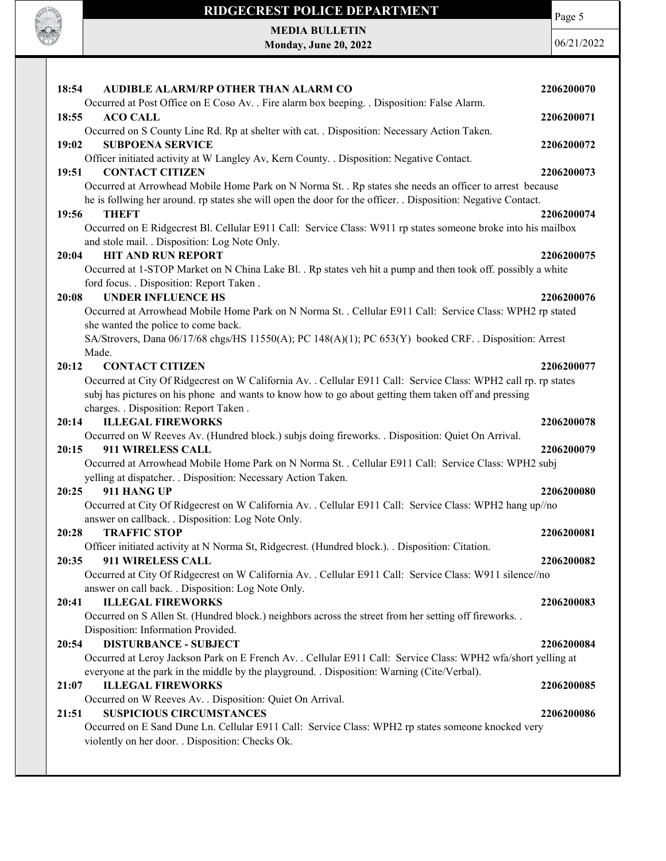